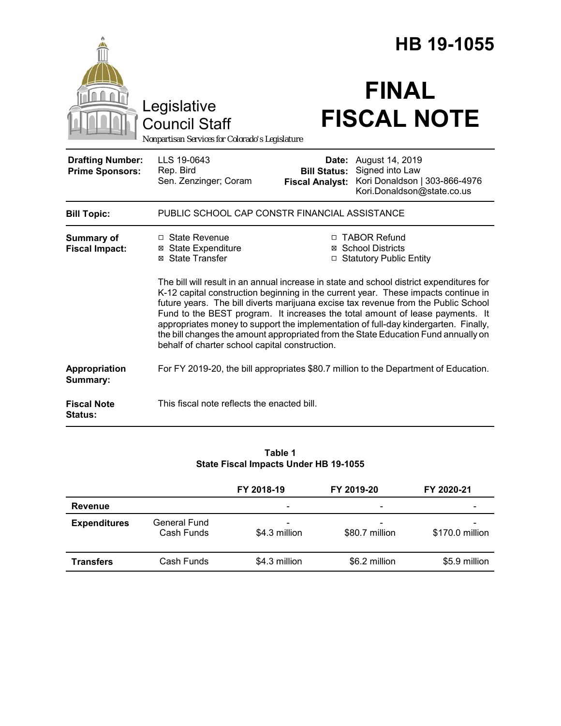|                                                   |                                                                                                                                                                                                                                                                                                                                                                                                                                                                                                                                                                                      | HB 19-1055                                                               |                                                                                                   |  |  |
|---------------------------------------------------|--------------------------------------------------------------------------------------------------------------------------------------------------------------------------------------------------------------------------------------------------------------------------------------------------------------------------------------------------------------------------------------------------------------------------------------------------------------------------------------------------------------------------------------------------------------------------------------|--------------------------------------------------------------------------|---------------------------------------------------------------------------------------------------|--|--|
|                                                   | Legislative<br><b>Council Staff</b><br>Nonpartisan Services for Colorado's Legislature                                                                                                                                                                                                                                                                                                                                                                                                                                                                                               |                                                                          | <b>FINAL</b><br><b>FISCAL NOTE</b>                                                                |  |  |
| <b>Drafting Number:</b><br><b>Prime Sponsors:</b> | LLS 19-0643<br>Rep. Bird<br>Sen. Zenzinger; Coram                                                                                                                                                                                                                                                                                                                                                                                                                                                                                                                                    | Date:<br><b>Bill Status:</b><br><b>Fiscal Analyst:</b>                   | August 14, 2019<br>Signed into Law<br>Kori Donaldson   303-866-4976<br>Kori.Donaldson@state.co.us |  |  |
| <b>Bill Topic:</b>                                | PUBLIC SCHOOL CAP CONSTR FINANCIAL ASSISTANCE                                                                                                                                                                                                                                                                                                                                                                                                                                                                                                                                        |                                                                          |                                                                                                   |  |  |
| Summary of<br><b>Fiscal Impact:</b>               | □ State Revenue<br><b>⊠</b> State Expenditure<br>⊠ State Transfer                                                                                                                                                                                                                                                                                                                                                                                                                                                                                                                    | □ TABOR Refund<br><b>⊠</b> School Districts<br>□ Statutory Public Entity |                                                                                                   |  |  |
|                                                   | The bill will result in an annual increase in state and school district expenditures for<br>K-12 capital construction beginning in the current year. These impacts continue in<br>future years. The bill diverts marijuana excise tax revenue from the Public School<br>Fund to the BEST program. It increases the total amount of lease payments. It<br>appropriates money to support the implementation of full-day kindergarten. Finally,<br>the bill changes the amount appropriated from the State Education Fund annually on<br>behalf of charter school capital construction. |                                                                          |                                                                                                   |  |  |
| Appropriation<br>Summary:                         | For FY 2019-20, the bill appropriates \$80.7 million to the Department of Education.                                                                                                                                                                                                                                                                                                                                                                                                                                                                                                 |                                                                          |                                                                                                   |  |  |
| <b>Fiscal Note</b><br>Status:                     | This fiscal note reflects the enacted bill.                                                                                                                                                                                                                                                                                                                                                                                                                                                                                                                                          |                                                                          |                                                                                                   |  |  |

### **Table 1 State Fiscal Impacts Under HB 19-1055**

|                     |                            | FY 2018-19                                | FY 2019-20          | FY 2020-21      |  |
|---------------------|----------------------------|-------------------------------------------|---------------------|-----------------|--|
| Revenue             |                            |                                           | -                   |                 |  |
| <b>Expenditures</b> | General Fund<br>Cash Funds | $\overline{\phantom{a}}$<br>\$4.3 million | -<br>\$80.7 million | \$170.0 million |  |
| <b>Transfers</b>    | Cash Funds                 | \$4.3 million                             | \$6.2 million       | \$5.9 million   |  |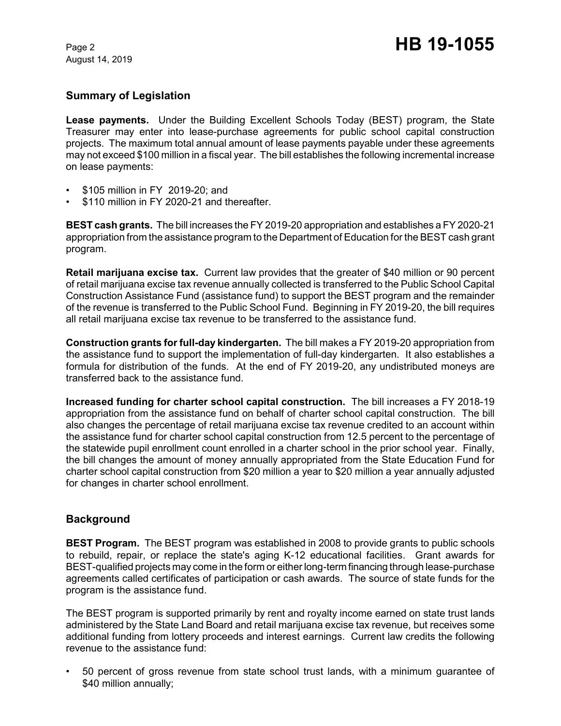August 14, 2019

# **Summary of Legislation**

**Lease payments.** Under the Building Excellent Schools Today (BEST) program, the State Treasurer may enter into lease-purchase agreements for public school capital construction projects. The maximum total annual amount of lease payments payable under these agreements may not exceed \$100 million in a fiscal year. The bill establishes the following incremental increase on lease payments:

- \$105 million in FY 2019-20; and
- \$110 million in FY 2020-21 and thereafter.

**BEST cash grants.** The bill increases the FY 2019-20 appropriation and establishes a FY 2020-21 appropriation from the assistance program to the Department of Education for the BEST cash grant program.

**Retail marijuana excise tax.** Current law provides that the greater of \$40 million or 90 percent of retail marijuana excise tax revenue annually collected is transferred to the Public School Capital Construction Assistance Fund (assistance fund) to support the BEST program and the remainder of the revenue is transferred to the Public School Fund. Beginning in FY 2019-20, the bill requires all retail marijuana excise tax revenue to be transferred to the assistance fund.

**Construction grants for full-day kindergarten.** The bill makes a FY 2019-20 appropriation from the assistance fund to support the implementation of full-day kindergarten. It also establishes a formula for distribution of the funds. At the end of FY 2019-20, any undistributed moneys are transferred back to the assistance fund.

**Increased funding for charter school capital construction.** The bill increases a FY 2018-19 appropriation from the assistance fund on behalf of charter school capital construction. The bill also changes the percentage of retail marijuana excise tax revenue credited to an account within the assistance fund for charter school capital construction from 12.5 percent to the percentage of the statewide pupil enrollment count enrolled in a charter school in the prior school year. Finally, the bill changes the amount of money annually appropriated from the State Education Fund for charter school capital construction from \$20 million a year to \$20 million a year annually adjusted for changes in charter school enrollment.

## **Background**

**BEST Program.** The BEST program was established in 2008 to provide grants to public schools to rebuild, repair, or replace the state's aging K-12 educational facilities. Grant awards for BEST-qualified projects may come in the form or either long-term financing through lease-purchase agreements called certificates of participation or cash awards. The source of state funds for the program is the assistance fund.

The BEST program is supported primarily by rent and royalty income earned on state trust lands administered by the State Land Board and retail marijuana excise tax revenue, but receives some additional funding from lottery proceeds and interest earnings. Current law credits the following revenue to the assistance fund:

• 50 percent of gross revenue from state school trust lands, with a minimum guarantee of \$40 million annually;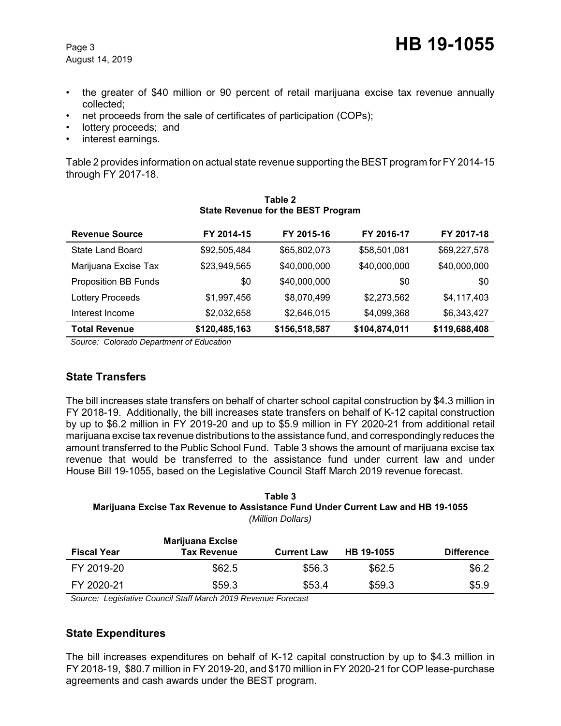- the greater of \$40 million or 90 percent of retail marijuana excise tax revenue annually collected;
- net proceeds from the sale of certificates of participation (COPs);
- lottery proceeds; and
- interest earnings.

Table 2 provides information on actual state revenue supporting the BEST program for FY 2014-15 through FY 2017-18.

| <b>Revenue Source</b>       | FY 2014-15    | FY 2015-16    | FY 2016-17    | FY 2017-18    |  |
|-----------------------------|---------------|---------------|---------------|---------------|--|
| State Land Board            | \$92,505,484  | \$65,802,073  | \$58,501,081  | \$69,227,578  |  |
| Marijuana Excise Tax        | \$23,949,565  | \$40,000,000  | \$40,000,000  | \$40,000,000  |  |
| <b>Proposition BB Funds</b> | \$0           | \$40,000,000  | \$0           | \$0           |  |
| Lottery Proceeds            | \$1,997,456   | \$8,070,499   | \$2,273,562   | \$4,117,403   |  |
| Interest Income             | \$2,032,658   | \$2,646,015   | \$4,099,368   | \$6,343,427   |  |
| <b>Total Revenue</b>        | \$120,485,163 | \$156,518,587 | \$104,874,011 | \$119,688,408 |  |

#### **Table 2 State Revenue for the BEST Program**

 *Source: Colorado Department of Education*

## **State Transfers**

The bill increases state transfers on behalf of charter school capital construction by \$4.3 million in FY 2018-19. Additionally, the bill increases state transfers on behalf of K-12 capital construction by up to \$6.2 million in FY 2019-20 and up to \$5.9 million in FY 2020-21 from additional retail marijuana excise tax revenue distributions to the assistance fund, and correspondingly reduces the amount transferred to the Public School Fund. Table 3 shows the amount of marijuana excise tax revenue that would be transferred to the assistance fund under current law and under House Bill 19-1055, based on the Legislative Council Staff March 2019 revenue forecast.

### **Table 3 Marijuana Excise Tax Revenue to Assistance Fund Under Current Law and HB 19-1055** *(Million Dollars)*

| <b>Fiscal Year</b> | <b>Marijuana Excise</b><br><b>Tax Revenue</b> | <b>Current Law</b> | HB 19-1055 | <b>Difference</b> |
|--------------------|-----------------------------------------------|--------------------|------------|-------------------|
| FY 2019-20         | \$62.5                                        | \$56.3             | \$62.5     | \$6.2             |
| FY 2020-21         | \$59.3                                        | \$53.4             | \$59.3     | \$5.9             |

 *Source: Legislative Council Staff March 2019 Revenue Forecast*

# **State Expenditures**

The bill increases expenditures on behalf of K-12 capital construction by up to \$4.3 million in FY 2018-19, \$80.7 million in FY 2019-20, and \$170 million in FY 2020-21 for COP lease-purchase agreements and cash awards under the BEST program.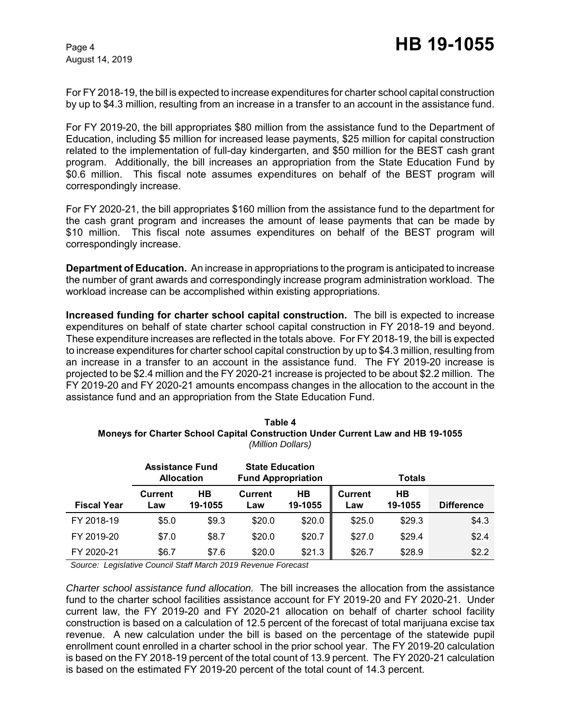August 14, 2019

For FY 2018-19, the bill is expected to increase expenditures for charter school capital construction by up to \$4.3 million, resulting from an increase in a transfer to an account in the assistance fund.

For FY 2019-20, the bill appropriates \$80 million from the assistance fund to the Department of Education, including \$5 million for increased lease payments, \$25 million for capital construction related to the implementation of full-day kindergarten, and \$50 million for the BEST cash grant program. Additionally, the bill increases an appropriation from the State Education Fund by \$0.6 million. This fiscal note assumes expenditures on behalf of the BEST program will correspondingly increase.

For FY 2020-21, the bill appropriates \$160 million from the assistance fund to the department for the cash grant program and increases the amount of lease payments that can be made by \$10 million. This fiscal note assumes expenditures on behalf of the BEST program will correspondingly increase.

**Department of Education.** An increase in appropriations to the program is anticipated to increase the number of grant awards and correspondingly increase program administration workload. The workload increase can be accomplished within existing appropriations.

**Increased funding for charter school capital construction.** The bill is expected to increase expenditures on behalf of state charter school capital construction in FY 2018-19 and beyond. These expenditure increases are reflected in the totals above. For FY 2018-19, the bill is expected to increase expenditures for charter school capital construction by up to \$4.3 million, resulting from an increase in a transfer to an account in the assistance fund. The FY 2019-20 increase is projected to be \$2.4 million and the FY 2020-21 increase is projected to be about \$2.2 million. The FY 2019-20 and FY 2020-21 amounts encompass changes in the allocation to the account in the assistance fund and an appropriation from the State Education Fund.

| Table 4                                                                                |
|----------------------------------------------------------------------------------------|
| <b>Moneys for Charter School Capital Construction Under Current Law and HB 19-1055</b> |
| (Million Dollars)                                                                      |

|                    | <b>Assistance Fund</b><br><b>Allocation</b> |               | <b>State Education</b><br><b>Fund Appropriation</b> |               |                       | <b>Totals</b>        |                   |
|--------------------|---------------------------------------------|---------------|-----------------------------------------------------|---------------|-----------------------|----------------------|-------------------|
| <b>Fiscal Year</b> | <b>Current</b><br>_aw                       | HВ<br>19-1055 | <b>Current</b><br>Law                               | HB<br>19-1055 | <b>Current</b><br>Law | <b>HB</b><br>19-1055 | <b>Difference</b> |
| FY 2018-19         | \$5.0                                       | \$9.3         | \$20.0                                              | \$20.0        | \$25.0                | \$29.3               | \$4.3             |
| FY 2019-20         | \$7.0                                       | \$8.7         | \$20.0                                              | \$20.7        | \$27.0                | \$29.4               | \$2.4             |
| FY 2020-21         | \$6.7                                       | \$7.6         | \$20.0                                              | \$21.3        | \$26.7                | \$28.9               | \$2.2             |

 *Source: Legislative Council Staff March 2019 Revenue Forecast*

*Charter school assistance fund allocation.* The bill increases the allocation from the assistance fund to the charter school facilities assistance account for FY 2019-20 and FY 2020-21. Under current law, the FY 2019-20 and FY 2020-21 allocation on behalf of charter school facility construction is based on a calculation of 12.5 percent of the forecast of total marijuana excise tax revenue. A new calculation under the bill is based on the percentage of the statewide pupil enrollment count enrolled in a charter school in the prior school year. The FY 2019-20 calculation is based on the FY 2018-19 percent of the total count of 13.9 percent. The FY 2020-21 calculation is based on the estimated FY 2019-20 percent of the total count of 14.3 percent.